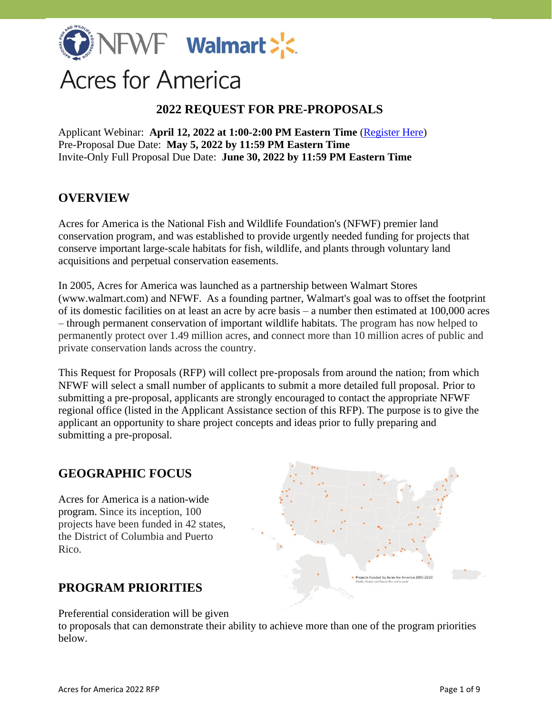

# **Acres for America**

## **2022 REQUEST FOR PRE-PROPOSALS**

Applicant Webinar: **April 12, 2022 at 1:00-2:00 PM Eastern Time** [\(Register Here\)](https://attendee.gotowebinar.com/register/4022317421360457744) Pre-Proposal Due Date: **May 5, 2022 by 11:59 PM Eastern Time** Invite-Only Full Proposal Due Date: **June 30, 2022 by 11:59 PM Eastern Time**

## **OVERVIEW**

Acres for America is the National Fish and Wildlife Foundation's (NFWF) premier land conservation program, and was established to provide urgently needed funding for projects that conserve important large-scale habitats for fish, wildlife, and plants through voluntary land acquisitions and perpetual conservation easements.

In 2005, Acres for America was launched as a partnership between Walmart Stores (www.walmart.com) and NFWF. As a founding partner, Walmart's goal was to offset the footprint of its domestic facilities on at least an acre by acre basis – a number then estimated at 100,000 acres – through permanent conservation of important wildlife habitats. The program has now helped to permanently protect over 1.49 million acres, and connect more than 10 million acres of public and private conservation lands across the country.

This Request for Proposals (RFP) will collect pre-proposals from around the nation; from which NFWF will select a small number of applicants to submit a more detailed full proposal. Prior to submitting a pre-proposal, applicants are strongly encouraged to contact the appropriate NFWF regional office (listed in the Applicant Assistance section of this RFP). The purpose is to give the applicant an opportunity to share project concepts and ideas prior to fully preparing and submitting a pre-proposal.

## **GEOGRAPHIC FOCUS**

Acres for America is a nation-wide program. Since its inception, 100 projects have been funded in 42 states, the District of Columbia and Puerto Rico.

# **PROGRAM PRIORITIES**

Preferential consideration will be given

to proposals that can demonstrate their ability to achieve more than one of the program priorities below.

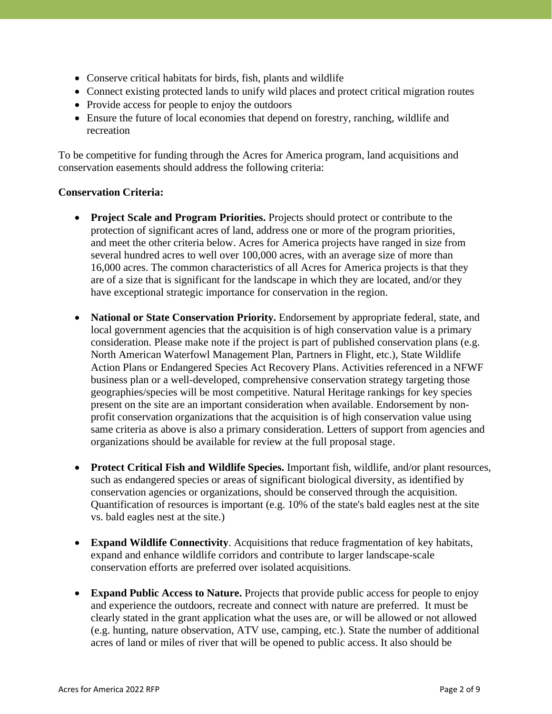- Conserve critical habitats for birds, fish, plants and wildlife
- Connect existing protected lands to unify wild places and protect critical migration routes
- Provide access for people to enjoy the outdoors
- Ensure the future of local economies that depend on forestry, ranching, wildlife and recreation

To be competitive for funding through the Acres for America program, land acquisitions and conservation easements should address the following criteria:

#### **Conservation Criteria:**

- **Project Scale and Program Priorities.** Projects should protect or contribute to the protection of significant acres of land, address one or more of the program priorities, and meet the other criteria below. Acres for America projects have ranged in size from several hundred acres to well over 100,000 acres, with an average size of more than 16,000 acres. The common characteristics of all Acres for America projects is that they are of a size that is significant for the landscape in which they are located, and/or they have exceptional strategic importance for conservation in the region.
- **National or State Conservation Priority.** Endorsement by appropriate federal, state, and local government agencies that the acquisition is of high conservation value is a primary consideration. Please make note if the project is part of published conservation plans (e.g. North American Waterfowl Management Plan, Partners in Flight, etc.), State Wildlife Action Plans or Endangered Species Act Recovery Plans. Activities referenced in a NFWF business plan or a well-developed, comprehensive conservation strategy targeting those geographies/species will be most competitive. Natural Heritage rankings for key species present on the site are an important consideration when available. Endorsement by nonprofit conservation organizations that the acquisition is of high conservation value using same criteria as above is also a primary consideration. Letters of support from agencies and organizations should be available for review at the full proposal stage.
- **Protect Critical Fish and Wildlife Species.** Important fish, wildlife, and/or plant resources, such as endangered species or areas of significant biological diversity, as identified by conservation agencies or organizations, should be conserved through the acquisition. Quantification of resources is important (e.g. 10% of the state's bald eagles nest at the site vs. bald eagles nest at the site.)
- **Expand Wildlife Connectivity**. Acquisitions that reduce fragmentation of key habitats, expand and enhance wildlife corridors and contribute to larger landscape-scale conservation efforts are preferred over isolated acquisitions.
- **Expand Public Access to Nature.** Projects that provide public access for people to enjoy and experience the outdoors, recreate and connect with nature are preferred. It must be clearly stated in the grant application what the uses are, or will be allowed or not allowed (e.g. hunting, nature observation, ATV use, camping, etc.). State the number of additional acres of land or miles of river that will be opened to public access. It also should be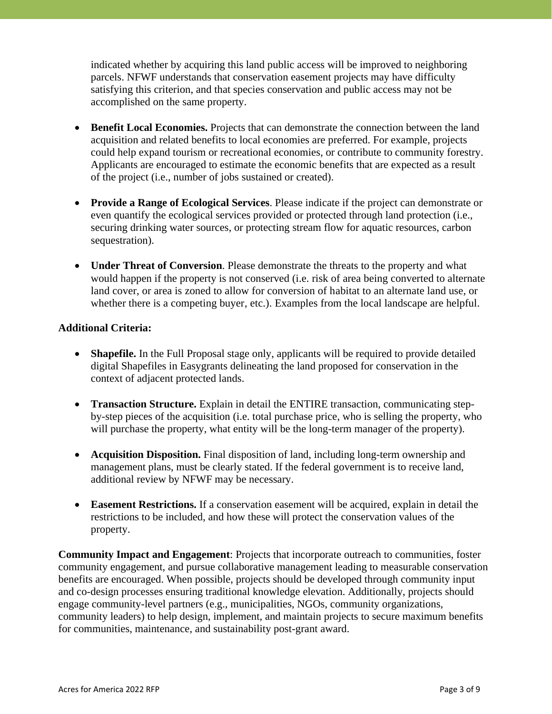indicated whether by acquiring this land public access will be improved to neighboring parcels. NFWF understands that conservation easement projects may have difficulty satisfying this criterion, and that species conservation and public access may not be accomplished on the same property.

- **Benefit Local Economies.** Projects that can demonstrate the connection between the land acquisition and related benefits to local economies are preferred. For example, projects could help expand tourism or recreational economies, or contribute to community forestry. Applicants are encouraged to estimate the economic benefits that are expected as a result of the project (i.e., number of jobs sustained or created).
- **Provide a Range of Ecological Services**. Please indicate if the project can demonstrate or even quantify the ecological services provided or protected through land protection (i.e., securing drinking water sources, or protecting stream flow for aquatic resources, carbon sequestration).
- **Under Threat of Conversion**. Please demonstrate the threats to the property and what would happen if the property is not conserved (i.e. risk of area being converted to alternate land cover, or area is zoned to allow for conversion of habitat to an alternate land use, or whether there is a competing buyer, etc.). Examples from the local landscape are helpful.

#### **Additional Criteria:**

- **Shapefile.** In the Full Proposal stage only, applicants will be required to provide detailed digital Shapefiles in Easygrants delineating the land proposed for conservation in the context of adjacent protected lands.
- **Transaction Structure.** Explain in detail the ENTIRE transaction, communicating stepby-step pieces of the acquisition (i.e. total purchase price, who is selling the property, who will purchase the property, what entity will be the long-term manager of the property).
- **Acquisition Disposition.** Final disposition of land, including long-term ownership and management plans, must be clearly stated. If the federal government is to receive land, additional review by NFWF may be necessary.
- **Easement Restrictions.** If a conservation easement will be acquired, explain in detail the restrictions to be included, and how these will protect the conservation values of the property.

**Community Impact and Engagement**: Projects that incorporate outreach to communities, foster community engagement, and pursue collaborative management leading to measurable conservation benefits are encouraged. When possible, projects should be developed through community input and co-design processes ensuring traditional knowledge elevation. Additionally, projects should engage community-level partners (e.g., municipalities, NGOs, community organizations, community leaders) to help design, implement, and maintain projects to secure maximum benefits for communities, maintenance, and sustainability post-grant award.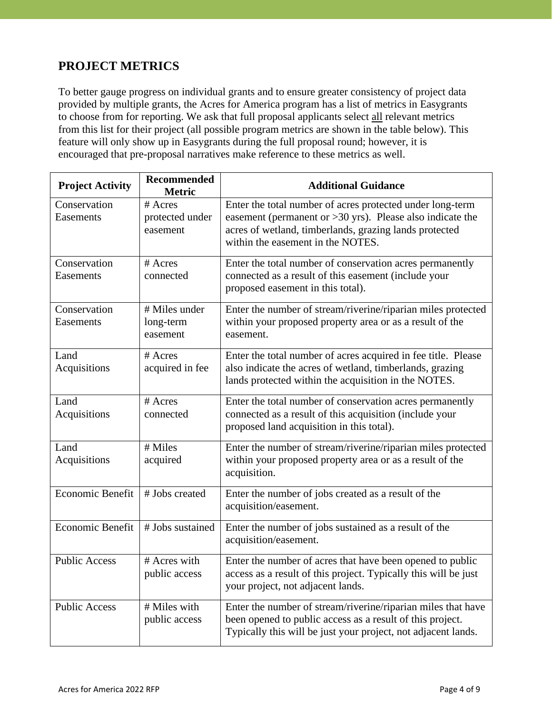# **PROJECT METRICS**

To better gauge progress on individual grants and to ensure greater consistency of project data provided by multiple grants, the Acres for America program has a list of metrics in Easygrants to choose from for reporting. We ask that full proposal applicants select all relevant metrics from this list for their project (all possible program metrics are shown in the table below). This feature will only show up in Easygrants during the full proposal round; however, it is encouraged that pre-proposal narratives make reference to these metrics as well.

| <b>Project Activity</b>   | <b>Recommended</b><br><b>Metric</b>    | <b>Additional Guidance</b>                                                                                                                                                                                              |
|---------------------------|----------------------------------------|-------------------------------------------------------------------------------------------------------------------------------------------------------------------------------------------------------------------------|
| Conservation<br>Easements | # Acres<br>protected under<br>easement | Enter the total number of acres protected under long-term<br>easement (permanent or $>30$ yrs). Please also indicate the<br>acres of wetland, timberlands, grazing lands protected<br>within the easement in the NOTES. |
| Conservation<br>Easements | # Acres<br>connected                   | Enter the total number of conservation acres permanently<br>connected as a result of this easement (include your<br>proposed easement in this total).                                                                   |
| Conservation<br>Easements | # Miles under<br>long-term<br>easement | Enter the number of stream/riverine/riparian miles protected<br>within your proposed property area or as a result of the<br>easement.                                                                                   |
| Land<br>Acquisitions      | # Acres<br>acquired in fee             | Enter the total number of acres acquired in fee title. Please<br>also indicate the acres of wetland, timberlands, grazing<br>lands protected within the acquisition in the NOTES.                                       |
| Land<br>Acquisitions      | # Acres<br>connected                   | Enter the total number of conservation acres permanently<br>connected as a result of this acquisition (include your<br>proposed land acquisition in this total).                                                        |
| Land<br>Acquisitions      | # Miles<br>acquired                    | Enter the number of stream/riverine/riparian miles protected<br>within your proposed property area or as a result of the<br>acquisition.                                                                                |
| Economic Benefit          | # Jobs created                         | Enter the number of jobs created as a result of the<br>acquisition/easement.                                                                                                                                            |
| Economic Benefit          | # Jobs sustained                       | Enter the number of jobs sustained as a result of the<br>acquisition/easement.                                                                                                                                          |
| <b>Public Access</b>      | # Acres with<br>public access          | Enter the number of acres that have been opened to public<br>access as a result of this project. Typically this will be just<br>your project, not adjacent lands.                                                       |
| <b>Public Access</b>      | # Miles with<br>public access          | Enter the number of stream/riverine/riparian miles that have<br>been opened to public access as a result of this project.<br>Typically this will be just your project, not adjacent lands.                              |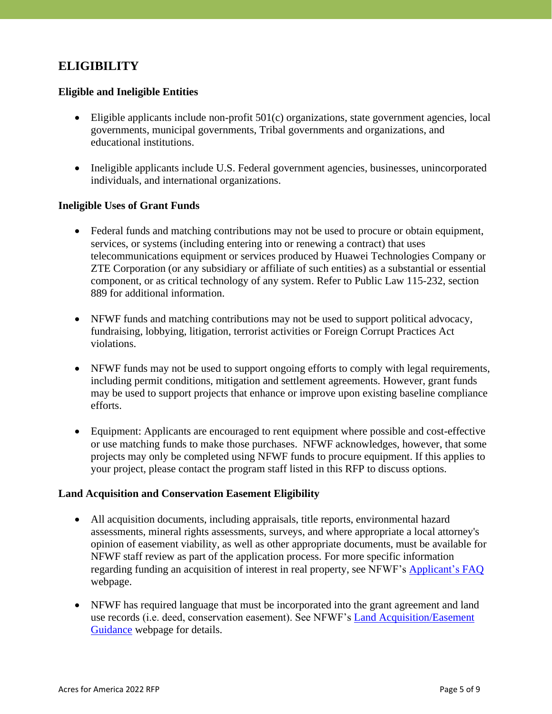# **ELIGIBILITY**

#### **Eligible and Ineligible Entities**

- Eligible applicants include non-profit 501(c) organizations, state government agencies, local governments, municipal governments, Tribal governments and organizations, and educational institutions.
- Ineligible applicants include U.S. Federal government agencies, businesses, unincorporated individuals, and international organizations.

#### **Ineligible Uses of Grant Funds**

- Federal funds and matching contributions may not be used to procure or obtain equipment, services, or systems (including entering into or renewing a contract) that uses telecommunications equipment or services produced by Huawei Technologies Company or ZTE Corporation (or any subsidiary or affiliate of such entities) as a substantial or essential component, or as critical technology of any system. Refer to Public Law 115-232, section 889 for additional information.
- NFWF funds and matching contributions may not be used to support political advocacy, fundraising, lobbying, litigation, terrorist activities or Foreign Corrupt Practices Act violations.
- NFWF funds may not be used to support ongoing efforts to comply with legal requirements, including permit conditions, mitigation and settlement agreements. However, grant funds may be used to support projects that enhance or improve upon existing baseline compliance efforts.
- Equipment: Applicants are encouraged to rent equipment where possible and cost-effective or use matching funds to make those purchases. NFWF acknowledges, however, that some projects may only be completed using NFWF funds to procure equipment. If this applies to your project, please contact the program staff listed in this RFP to discuss options.

#### **Land Acquisition and Conservation Easement Eligibility**

- All acquisition documents, including appraisals, title reports, environmental hazard assessments, mineral rights assessments, surveys, and where appropriate a local attorney's opinion of easement viability, as well as other appropriate documents, must be available for NFWF staff review as part of the application process. For more specific information regarding funding an acquisition of interest in real property, see NFWF's [Applicant's](https://www.nfwf.org/apply-grant/application-information/faqs) FAQ webpage.
- NFWF has required language that must be incorporated into the grant agreement and land use records (i.e. deed, conservation easement). See NFWF's [Land Acquisition/Easement](https://www.nfwf.org/land-acquisitioneasement-guidance)  [Guidance](https://www.nfwf.org/land-acquisitioneasement-guidance) webpage for details.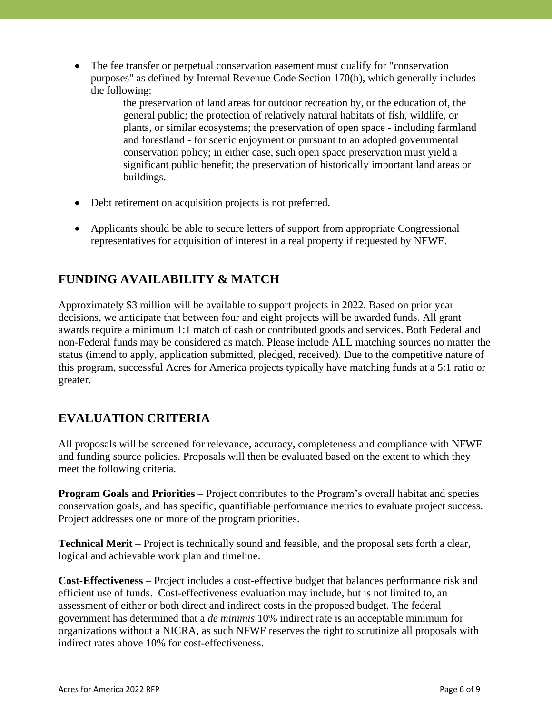• The fee transfer or perpetual conservation easement must qualify for "conservation" purposes" as defined by Internal Revenue Code Section 170(h), which generally includes the following:

> the preservation of land areas for outdoor recreation by, or the education of, the general public; the protection of relatively natural habitats of fish, wildlife, or plants, or similar ecosystems; the preservation of open space - including farmland and forestland - for scenic enjoyment or pursuant to an adopted governmental conservation policy; in either case, such open space preservation must yield a significant public benefit; the preservation of historically important land areas or buildings.

- Debt retirement on acquisition projects is not preferred.
- Applicants should be able to secure letters of support from appropriate Congressional representatives for acquisition of interest in a real property if requested by NFWF.

# **FUNDING AVAILABILITY & MATCH**

Approximately \$3 million will be available to support projects in 2022. Based on prior year decisions, we anticipate that between four and eight projects will be awarded funds. All grant awards require a minimum 1:1 match of cash or contributed goods and services. Both Federal and non-Federal funds may be considered as match. Please include ALL matching sources no matter the status (intend to apply, application submitted, pledged, received). Due to the competitive nature of this program, successful Acres for America projects typically have matching funds at a 5:1 ratio or greater.

# **EVALUATION CRITERIA**

All proposals will be screened for relevance, accuracy, completeness and compliance with NFWF and funding source policies. Proposals will then be evaluated based on the extent to which they meet the following criteria.

**Program Goals and Priorities** – Project contributes to the Program's overall habitat and species conservation goals, and has specific, quantifiable performance metrics to evaluate project success. Project addresses one or more of the program priorities.

**Technical Merit** – Project is technically sound and feasible, and the proposal sets forth a clear, logical and achievable work plan and timeline.

**Cost-Effectiveness** – Project includes a cost-effective budget that balances performance risk and efficient use of funds. Cost-effectiveness evaluation may include, but is not limited to, an assessment of either or both direct and indirect costs in the proposed budget. The federal government has determined that a *de minimis* 10% indirect rate is an acceptable minimum for organizations without a NICRA, as such NFWF reserves the right to scrutinize all proposals with indirect rates above 10% for cost-effectiveness.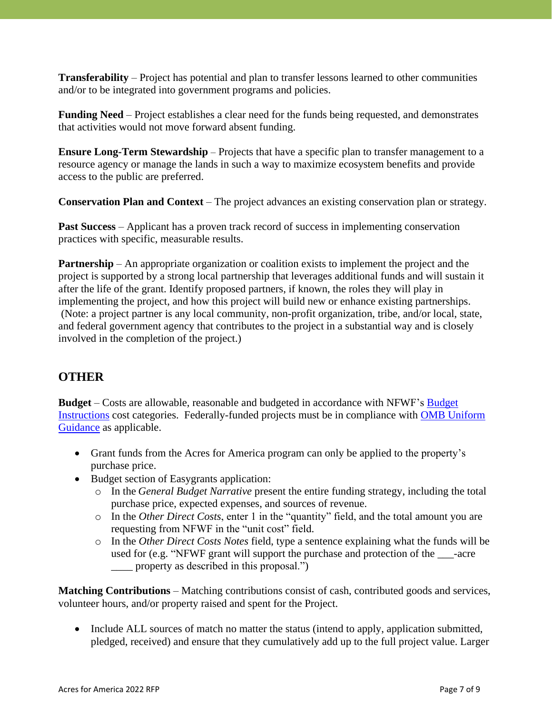**Transferability** – Project has potential and plan to transfer lessons learned to other communities and/or to be integrated into government programs and policies.

**Funding Need** – Project establishes a clear need for the funds being requested, and demonstrates that activities would not move forward absent funding.

**Ensure Long-Term Stewardship** – Projects that have a specific plan to transfer management to a resource agency or manage the lands in such a way to maximize ecosystem benefits and provide access to the public are preferred.

**Conservation Plan and Context** – The project advances an existing conservation plan or strategy.

**Past Success** – Applicant has a proven track record of success in implementing conservation practices with specific, measurable results.

**Partnership** – An appropriate organization or coalition exists to implement the project and the project is supported by a strong local partnership that leverages additional funds and will sustain it after the life of the grant. Identify proposed partners, if known, the roles they will play in implementing the project, and how this project will build new or enhance existing partnerships. (Note: a project partner is any local community, non-profit organization, tribe, and/or local, state, and federal government agency that contributes to the project in a substantial way and is closely involved in the completion of the project.)

## **OTHER**

**Budget** – Costs are allowable, reasonable and budgeted in accordance with NFWF's [Budget](http://www.nfwf.org/whatwedo/grants/applicants/Pages/budget-instructions.aspx)  [Instructions](http://www.nfwf.org/whatwedo/grants/applicants/Pages/budget-instructions.aspx) cost categories. Federally-funded projects must be in compliance with [OMB Uniform](http://www.ecfr.gov/cgi-bin/text-idx?SID=704835d27377ef5213a51c149de40cab&node=2:1.1.2.2.1&rgn=div5)  [Guidance](http://www.ecfr.gov/cgi-bin/text-idx?SID=704835d27377ef5213a51c149de40cab&node=2:1.1.2.2.1&rgn=div5) as applicable.

- Grant funds from the Acres for America program can only be applied to the property's purchase price.
- Budget section of Easygrants application:
	- o In the *General Budget Narrative* present the entire funding strategy, including the total purchase price, expected expenses, and sources of revenue.
	- o In the *Other Direct Costs*, enter 1 in the "quantity" field, and the total amount you are requesting from NFWF in the "unit cost" field.
	- o In the *Other Direct Costs Notes* field, type a sentence explaining what the funds will be used for (e.g. "NFWF grant will support the purchase and protection of the \_\_\_-acre property as described in this proposal.")

**Matching Contributions** – Matching contributions consist of cash, contributed goods and services, volunteer hours, and/or property raised and spent for the Project.

• Include ALL sources of match no matter the status (intend to apply, application submitted, pledged, received) and ensure that they cumulatively add up to the full project value. Larger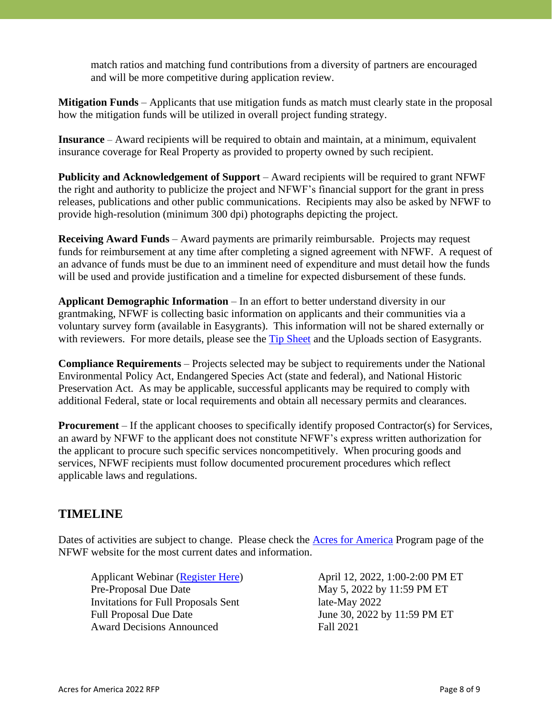match ratios and matching fund contributions from a diversity of partners are encouraged and will be more competitive during application review.

**Mitigation Funds** – Applicants that use mitigation funds as match must clearly state in the proposal how the mitigation funds will be utilized in overall project funding strategy.

**Insurance** – Award recipients will be required to obtain and maintain, at a minimum, equivalent insurance coverage for Real Property as provided to property owned by such recipient.

**Publicity and Acknowledgement of Support** – Award recipients will be required to grant NFWF the right and authority to publicize the project and NFWF's financial support for the grant in press releases, publications and other public communications. Recipients may also be asked by NFWF to provide high-resolution (minimum 300 dpi) photographs depicting the project.

**Receiving Award Funds** – Award payments are primarily reimbursable. Projects may request funds for reimbursement at any time after completing a signed agreement with NFWF. A request of an advance of funds must be due to an imminent need of expenditure and must detail how the funds will be used and provide justification and a timeline for expected disbursement of these funds.

**Applicant Demographic Information** – In an effort to better understand diversity in our grantmaking, NFWF is collecting basic information on applicants and their communities via a voluntary survey form (available in Easygrants). This information will not be shared externally or with reviewers. For more details, please see the [Tip Sheet](https://www.nfwf.org/sites/default/files/2022-03/Applicant%20TipSheet%202022.pdf) and the Uploads section of Easygrants.

**Compliance Requirements** – Projects selected may be subject to requirements under the National Environmental Policy Act, Endangered Species Act (state and federal), and National Historic Preservation Act. As may be applicable, successful applicants may be required to comply with additional Federal, state or local requirements and obtain all necessary permits and clearances.

**Procurement** – If the applicant chooses to specifically identify proposed Contractor(s) for Services, an award by NFWF to the applicant does not constitute NFWF's express written authorization for the applicant to procure such specific services noncompetitively. When procuring goods and services, NFWF recipients must follow documented procurement procedures which reflect applicable laws and regulations.

### **TIMELINE**

Dates of activities are subject to change. Please check the **Acres for America Program** page of the NFWF website for the most current dates and information.

Applicant Webinar [\(Register Here\)](https://attendee.gotowebinar.com/register/4022317421360457744) April 12, 2022, 1:00-2:00 PM ET Pre-Proposal Due Date May 5, 2022 by 11:59 PM ET Invitations for Full Proposals Sent late-May 2022 Full Proposal Due Date June 30, 2022 by 11:59 PM ET Award Decisions Announced Fall 2021